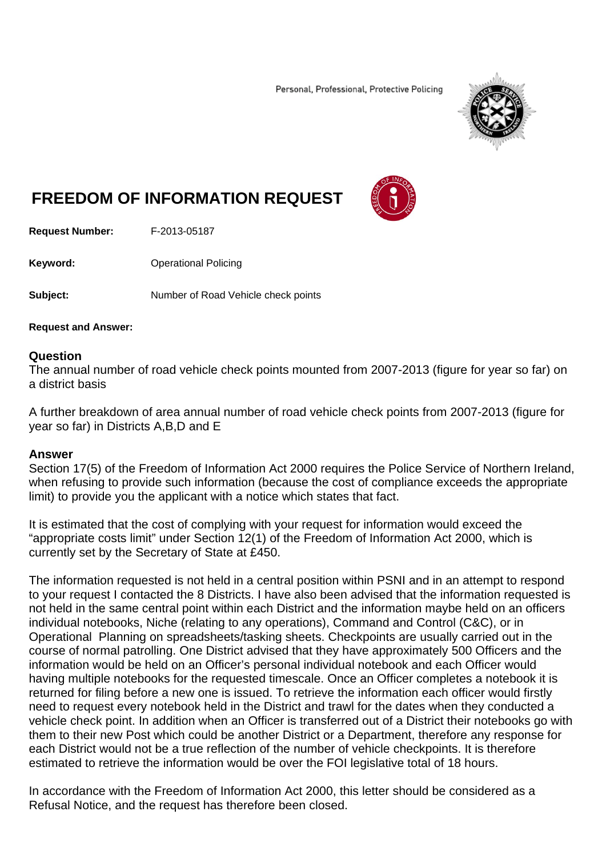Personal, Professional, Protective Policing



## **FREEDOM OF INFORMATION REQUEST**



**Request Number:** F-2013-05187

**Keyword: C**Derational Policing

**Subject:** Number of Road Vehicle check points

**Request and Answer:** 

## **Question**

The annual number of road vehicle check points mounted from 2007-2013 (figure for year so far) on a district basis

A further breakdown of area annual number of road vehicle check points from 2007-2013 (figure for year so far) in Districts A,B,D and E

## **Answer**

Section 17(5) of the Freedom of Information Act 2000 requires the Police Service of Northern Ireland, when refusing to provide such information (because the cost of compliance exceeds the appropriate limit) to provide you the applicant with a notice which states that fact.

It is estimated that the cost of complying with your request for information would exceed the "appropriate costs limit" under Section 12(1) of the Freedom of Information Act 2000, which is currently set by the Secretary of State at £450.

The information requested is not held in a central position within PSNI and in an attempt to respond to your request I contacted the 8 Districts. I have also been advised that the information requested is not held in the same central point within each District and the information maybe held on an officers individual notebooks, Niche (relating to any operations), Command and Control (C&C), or in Operational Planning on spreadsheets/tasking sheets. Checkpoints are usually carried out in the course of normal patrolling. One District advised that they have approximately 500 Officers and the information would be held on an Officer's personal individual notebook and each Officer would having multiple notebooks for the requested timescale. Once an Officer completes a notebook it is returned for filing before a new one is issued. To retrieve the information each officer would firstly need to request every notebook held in the District and trawl for the dates when they conducted a vehicle check point. In addition when an Officer is transferred out of a District their notebooks go with them to their new Post which could be another District or a Department, therefore any response for each District would not be a true reflection of the number of vehicle checkpoints. It is therefore estimated to retrieve the information would be over the FOI legislative total of 18 hours.

In accordance with the Freedom of Information Act 2000, this letter should be considered as a Refusal Notice, and the request has therefore been closed.